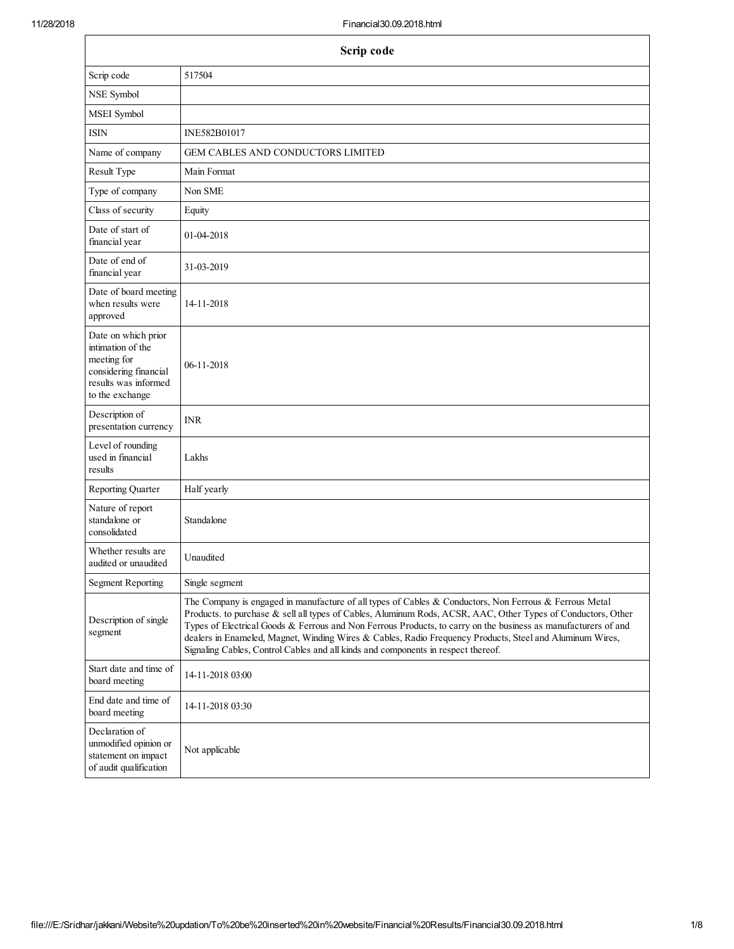| Scrip code                                                                                                                  |                                                                                                                                                                                                                                                                                                                                                                                                                                                                                                                                           |  |  |
|-----------------------------------------------------------------------------------------------------------------------------|-------------------------------------------------------------------------------------------------------------------------------------------------------------------------------------------------------------------------------------------------------------------------------------------------------------------------------------------------------------------------------------------------------------------------------------------------------------------------------------------------------------------------------------------|--|--|
| 517504<br>Scrip code                                                                                                        |                                                                                                                                                                                                                                                                                                                                                                                                                                                                                                                                           |  |  |
| NSE Symbol                                                                                                                  |                                                                                                                                                                                                                                                                                                                                                                                                                                                                                                                                           |  |  |
| MSEI Symbol                                                                                                                 |                                                                                                                                                                                                                                                                                                                                                                                                                                                                                                                                           |  |  |
| <b>ISIN</b>                                                                                                                 | INE582B01017                                                                                                                                                                                                                                                                                                                                                                                                                                                                                                                              |  |  |
| Name of company                                                                                                             | GEM CABLES AND CONDUCTORS LIMITED                                                                                                                                                                                                                                                                                                                                                                                                                                                                                                         |  |  |
| Result Type                                                                                                                 | Main Format                                                                                                                                                                                                                                                                                                                                                                                                                                                                                                                               |  |  |
| Type of company                                                                                                             | Non SME                                                                                                                                                                                                                                                                                                                                                                                                                                                                                                                                   |  |  |
| Class of security                                                                                                           | Equity                                                                                                                                                                                                                                                                                                                                                                                                                                                                                                                                    |  |  |
| Date of start of<br>financial year                                                                                          | 01-04-2018                                                                                                                                                                                                                                                                                                                                                                                                                                                                                                                                |  |  |
| Date of end of<br>financial year                                                                                            | 31-03-2019                                                                                                                                                                                                                                                                                                                                                                                                                                                                                                                                |  |  |
| Date of board meeting<br>when results were<br>approved                                                                      | 14-11-2018                                                                                                                                                                                                                                                                                                                                                                                                                                                                                                                                |  |  |
| Date on which prior<br>intimation of the<br>meeting for<br>considering financial<br>results was informed<br>to the exchange | 06-11-2018                                                                                                                                                                                                                                                                                                                                                                                                                                                                                                                                |  |  |
| Description of<br>presentation currency                                                                                     | <b>INR</b>                                                                                                                                                                                                                                                                                                                                                                                                                                                                                                                                |  |  |
| Level of rounding<br>used in financial<br>results                                                                           | Lakhs                                                                                                                                                                                                                                                                                                                                                                                                                                                                                                                                     |  |  |
| <b>Reporting Quarter</b>                                                                                                    | Half yearly                                                                                                                                                                                                                                                                                                                                                                                                                                                                                                                               |  |  |
| Nature of report<br>standalone or<br>consolidated                                                                           | Standalone                                                                                                                                                                                                                                                                                                                                                                                                                                                                                                                                |  |  |
| Whether results are<br>audited or unaudited                                                                                 | Unaudited                                                                                                                                                                                                                                                                                                                                                                                                                                                                                                                                 |  |  |
| <b>Segment Reporting</b>                                                                                                    | Single segment                                                                                                                                                                                                                                                                                                                                                                                                                                                                                                                            |  |  |
| Description of single<br>segment                                                                                            | The Company is engaged in manufacture of all types of Cables & Conductors, Non Ferrous & Ferrous Metal<br>Products. to purchase & sell all types of Cables, Aluminum Rods, ACSR, AAC, Other Types of Conductors, Other<br>Types of Electrical Goods & Ferrous and Non Ferrous Products, to carry on the business as manufacturers of and<br>dealers in Enameled, Magnet, Winding Wires & Cables, Radio Frequency Products, Steel and Aluminum Wires,<br>Signaling Cables, Control Cables and all kinds and components in respect thereof. |  |  |
| Start date and time of<br>board meeting                                                                                     | 14-11-2018 03:00                                                                                                                                                                                                                                                                                                                                                                                                                                                                                                                          |  |  |
| End date and time of<br>board meeting                                                                                       | 14-11-2018 03:30                                                                                                                                                                                                                                                                                                                                                                                                                                                                                                                          |  |  |
| Declaration of<br>unmodified opinion or<br>statement on impact<br>of audit qualification                                    | Not applicable                                                                                                                                                                                                                                                                                                                                                                                                                                                                                                                            |  |  |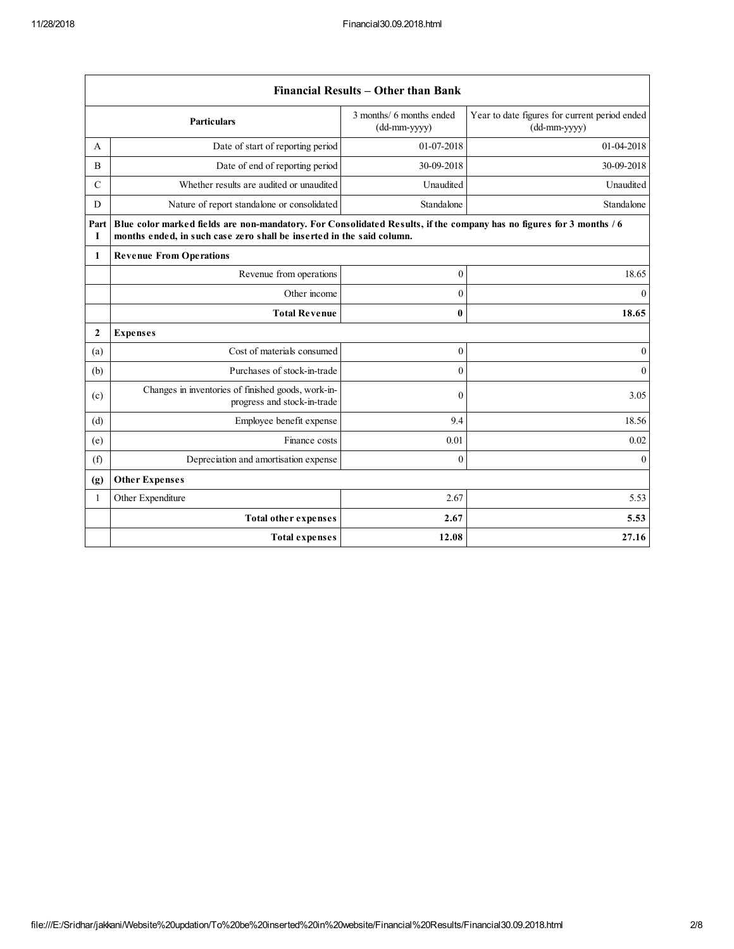$\Gamma$ 

|               | Financial Results – Other than Bank                                                                                                                                                           |                                          |                                                                 |  |
|---------------|-----------------------------------------------------------------------------------------------------------------------------------------------------------------------------------------------|------------------------------------------|-----------------------------------------------------------------|--|
|               | Particulars                                                                                                                                                                                   | 3 months/ 6 months ended<br>(dd-mm-yyyy) | Year to date figures for current period ended<br>$(dd-mm-yyyy)$ |  |
| A             | Date of start of reporting period                                                                                                                                                             | 01-07-2018                               | 01-04-2018                                                      |  |
| B             | Date of end of reporting period                                                                                                                                                               | 30-09-2018                               | 30-09-2018                                                      |  |
| $\mathcal{C}$ | Whether results are audited or unaudited                                                                                                                                                      | Unaudited                                | Unaudited                                                       |  |
| D             | Nature of report standalone or consolidated                                                                                                                                                   | Standalone                               | Standalone                                                      |  |
| Part<br>1     | Blue color marked fields are non-mandatory. For Consolidated Results, if the company has no figures for 3 months / 6<br>months ended, in such case zero shall be inserted in the said column. |                                          |                                                                 |  |
| 1             | <b>Revenue From Operations</b>                                                                                                                                                                |                                          |                                                                 |  |
|               | Revenue from operations                                                                                                                                                                       | $\mathbf{0}$                             | 18.65                                                           |  |
|               | Other income                                                                                                                                                                                  | $\mathbf{0}$                             | $\mathbf{0}$                                                    |  |
|               | <b>Total Revenue</b>                                                                                                                                                                          | 0                                        | 18.65                                                           |  |
| $\mathbf{2}$  | <b>Expenses</b>                                                                                                                                                                               |                                          |                                                                 |  |
| (a)           | Cost of materials consumed                                                                                                                                                                    | $\mathbf{0}$                             | $\mathbf{0}$                                                    |  |
| (b)           | Purchases of stock-in-trade                                                                                                                                                                   | $\theta$                                 | $\mathbf{0}$                                                    |  |
| (c)           | Changes in inventories of finished goods, work-in-<br>progress and stock-in-trade                                                                                                             | $\mathbf{0}$                             | 3.05                                                            |  |
| (d)           | Employee benefit expense                                                                                                                                                                      | 9.4                                      | 18.56                                                           |  |
| (e)           | Finance costs                                                                                                                                                                                 | 0.01                                     | 0.02                                                            |  |
| (f)           | Depreciation and amortisation expense                                                                                                                                                         | $\mathbf{0}$                             | $\mathbf{0}$                                                    |  |
| (g)           | <b>Other Expenses</b>                                                                                                                                                                         |                                          |                                                                 |  |
| 1             | Other Expenditure                                                                                                                                                                             | 2.67                                     | 5.53                                                            |  |
|               | <b>Total other expenses</b>                                                                                                                                                                   | 2.67                                     | 5.53                                                            |  |
|               | Total expenses                                                                                                                                                                                | 12.08                                    | 27.16                                                           |  |

٦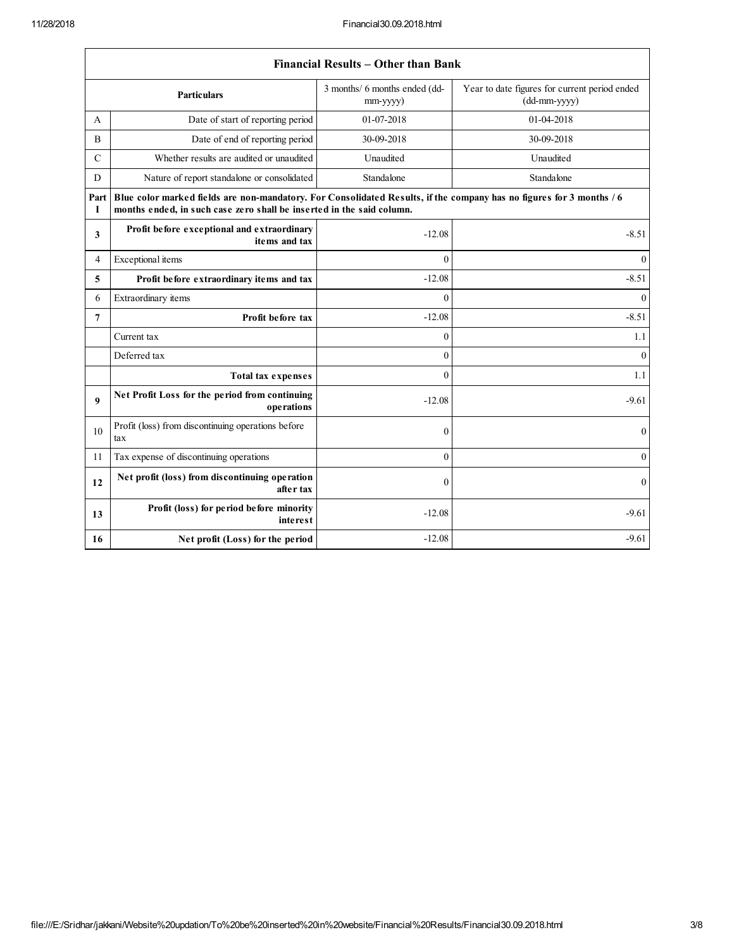|                  | Financial Results – Uther than Bank                                                                                                                                                           |                                           |                                                               |  |
|------------------|-----------------------------------------------------------------------------------------------------------------------------------------------------------------------------------------------|-------------------------------------------|---------------------------------------------------------------|--|
|                  | Particulars                                                                                                                                                                                   | 3 months/ 6 months ended (dd-<br>mm-yyyy) | Year to date figures for current period ended<br>(dd-mm-yyyy) |  |
| A                | Date of start of reporting period                                                                                                                                                             | 01-07-2018                                | 01-04-2018                                                    |  |
| B                | Date of end of reporting period                                                                                                                                                               | 30-09-2018                                | 30-09-2018                                                    |  |
| $\mathcal{C}$    | Whether results are audited or unaudited                                                                                                                                                      | Unaudited                                 | Unaudited                                                     |  |
| D                | Nature of report standalone or consolidated                                                                                                                                                   | Standalone                                | Standalone                                                    |  |
| Part<br>1        | Blue color marked fields are non-mandatory. For Consolidated Results, if the company has no figures for 3 months / 6<br>months ended, in such case zero shall be inserted in the said column. |                                           |                                                               |  |
| 3                | Profit before exceptional and extraordinary<br>items and tax                                                                                                                                  | $-12.08$                                  | $-8.51$                                                       |  |
| 4                | Exceptional items                                                                                                                                                                             | $\theta$                                  | $\theta$                                                      |  |
| 5                | Profit before extraordinary items and tax                                                                                                                                                     | $-12.08$                                  | $-8.51$                                                       |  |
| 6                | Extraordinary items                                                                                                                                                                           | $\theta$                                  | $\overline{0}$                                                |  |
| 7                | Profit before tax                                                                                                                                                                             | $-12.08$                                  | $-8.51$                                                       |  |
|                  | Current tax                                                                                                                                                                                   | $\theta$                                  | 1.1                                                           |  |
|                  | Deferred tax                                                                                                                                                                                  | $\theta$                                  | $\mathbf{0}$                                                  |  |
|                  | <b>Total tax expenses</b>                                                                                                                                                                     | $\theta$                                  | 1.1                                                           |  |
| $\boldsymbol{9}$ | Net Profit Loss for the period from continuing<br>operations                                                                                                                                  | $-12.08$                                  | $-9.61$                                                       |  |
| 10               | Profit (loss) from discontinuing operations before<br>tax                                                                                                                                     | $\mathbf{0}$                              | $\mathbf{0}$                                                  |  |
| 11               | Tax expense of discontinuing operations                                                                                                                                                       | $\theta$                                  | $\mathbf{0}$                                                  |  |
| 12               | Net profit (loss) from discontinuing operation<br>after tax                                                                                                                                   | $\mathbf{0}$                              | $\mathbf{0}$                                                  |  |
| 13               | Profit (loss) for period before minority<br><i>interest</i>                                                                                                                                   | $-12.08$                                  | $-9.61$                                                       |  |
| 16               | Net profit (Loss) for the period                                                                                                                                                              | $-12.08$                                  | $-9.61$                                                       |  |

## Financial Results – Other than Bank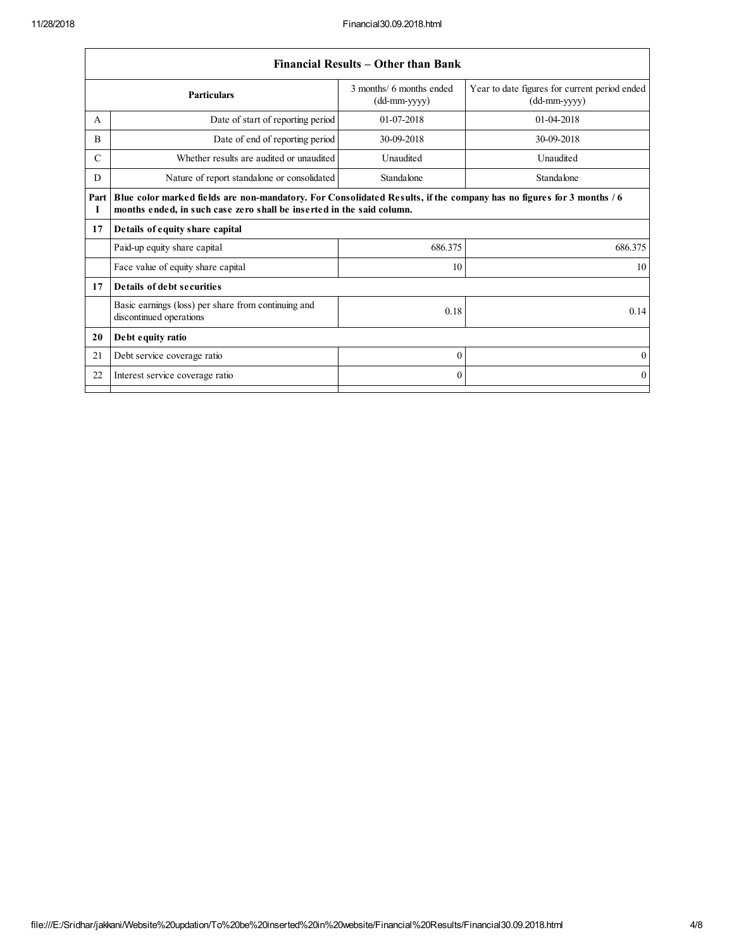$\sqrt{ }$ 

|               | Financial Results – Other than Bank                                                                                                                                                           |                                          |                                                                 |  |
|---------------|-----------------------------------------------------------------------------------------------------------------------------------------------------------------------------------------------|------------------------------------------|-----------------------------------------------------------------|--|
|               | <b>Particulars</b>                                                                                                                                                                            | 3 months/ 6 months ended<br>(dd-mm-yyyy) | Year to date figures for current period ended<br>$(dd-mm-yyyy)$ |  |
| A             | Date of start of reporting period                                                                                                                                                             | 01-07-2018                               | 01-04-2018                                                      |  |
| B             | Date of end of reporting period                                                                                                                                                               | 30-09-2018                               | 30-09-2018                                                      |  |
| $\mathcal{C}$ | Whether results are audited or unaudited                                                                                                                                                      | Unaudited                                | Unaudited                                                       |  |
| D             | Nature of report standalone or consolidated                                                                                                                                                   | Standalone                               | Standalone                                                      |  |
| Part<br>I     | Blue color marked fields are non-mandatory. For Consolidated Results, if the company has no figures for 3 months / 6<br>months ended, in such case zero shall be inserted in the said column. |                                          |                                                                 |  |
| 17            | Details of equity share capital                                                                                                                                                               |                                          |                                                                 |  |
|               | Paid-up equity share capital                                                                                                                                                                  | 686.375                                  | 686.375                                                         |  |
|               | Face value of equity share capital                                                                                                                                                            | 10                                       | 10                                                              |  |
| 17            | Details of debt securities                                                                                                                                                                    |                                          |                                                                 |  |
|               | Basic earnings (loss) per share from continuing and<br>discontinued operations                                                                                                                | 0.18                                     | 0.14                                                            |  |
| 20            | Debt equity ratio                                                                                                                                                                             |                                          |                                                                 |  |
| 21            | Debt service coverage ratio                                                                                                                                                                   | $\theta$                                 | $\Omega$                                                        |  |
| 22            | Interest service coverage ratio                                                                                                                                                               | $\Omega$                                 | $\Omega$                                                        |  |
|               |                                                                                                                                                                                               |                                          |                                                                 |  |

## Financial Results – Other than Bank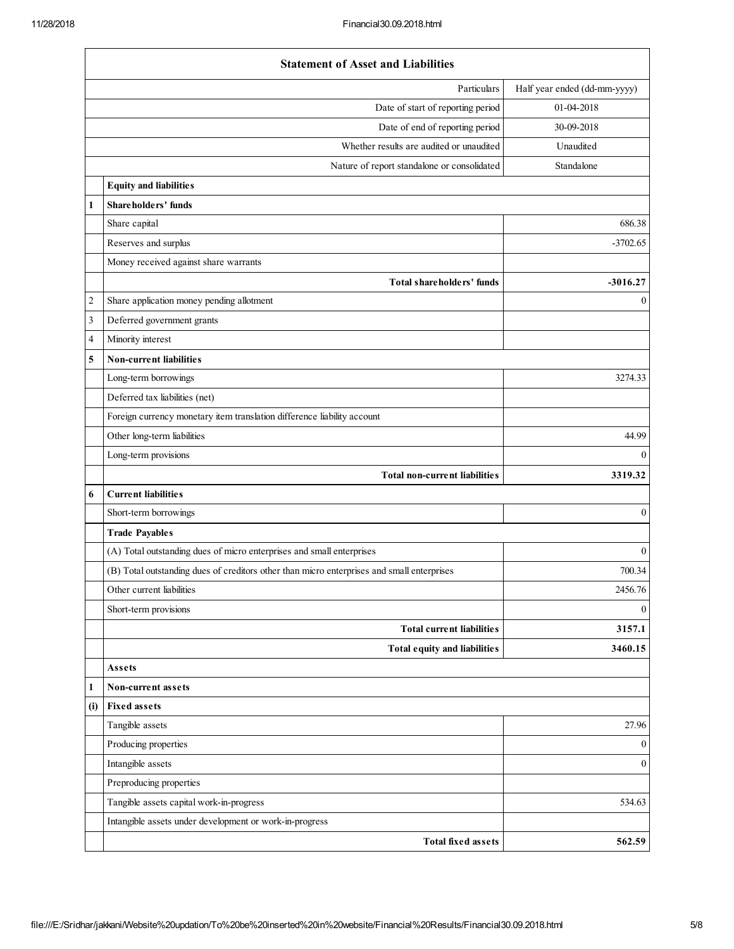|     | <b>Statement of Asset and Liabilities</b>                                                  |                              |
|-----|--------------------------------------------------------------------------------------------|------------------------------|
|     | Particulars                                                                                | Half year ended (dd-mm-yyyy) |
|     | Date of start of reporting period                                                          | 01-04-2018                   |
|     | Date of end of reporting period                                                            | 30-09-2018                   |
|     | Whether results are audited or unaudited                                                   | Unaudited                    |
|     | Nature of report standalone or consolidated                                                | Standalone                   |
|     | <b>Equity and liabilities</b>                                                              |                              |
| 1   | Shareholders' funds                                                                        |                              |
|     | Share capital                                                                              | 686.38                       |
|     | Reserves and surplus                                                                       | $-3702.65$                   |
|     | Money received against share warrants                                                      |                              |
|     | Total shareholders' funds                                                                  | $-3016.27$                   |
| 2   | Share application money pending allotment                                                  | $\bf{0}$                     |
| 3   | Deferred government grants                                                                 |                              |
| 4   | Minority interest                                                                          |                              |
| 5   | Non-current liabilities                                                                    |                              |
|     | Long-term borrowings                                                                       | 3274.33                      |
|     | Deferred tax liabilities (net)                                                             |                              |
|     | Foreign currency monetary item translation difference liability account                    |                              |
|     | Other long-term liabilities                                                                | 44.99                        |
|     | Long-term provisions                                                                       | $\mathbf{0}$                 |
|     | Total non-current liabilities                                                              | 3319.32                      |
| 6   | <b>Current liabilities</b>                                                                 |                              |
|     | Short-term borrowings                                                                      | $\mathbf{0}$                 |
|     | <b>Trade Payables</b>                                                                      |                              |
|     | (A) Total outstanding dues of micro enterprises and small enterprises                      | $\boldsymbol{0}$             |
|     | (B) Total outstanding dues of creditors other than micro enterprises and small enterprises | 700.34                       |
|     | Other current liabilities                                                                  | 2456.76                      |
|     | Short-term provisions                                                                      | $\boldsymbol{0}$             |
|     | <b>Total current liabilities</b>                                                           | 3157.1                       |
|     | Total equity and liabilities                                                               | 3460.15                      |
|     | Assets                                                                                     |                              |
| 1   | Non-current assets                                                                         |                              |
| (i) | <b>Fixed assets</b>                                                                        |                              |
|     | Tangible assets                                                                            | 27.96                        |
|     | Producing properties                                                                       | $\boldsymbol{0}$             |
|     | Intangible assets                                                                          | $\boldsymbol{0}$             |
|     | Preproducing properties                                                                    |                              |
|     | Tangible assets capital work-in-progress                                                   | 534.63                       |
|     | Intangible assets under development or work-in-progress                                    |                              |
|     | <b>Total fixed assets</b>                                                                  | 562.59                       |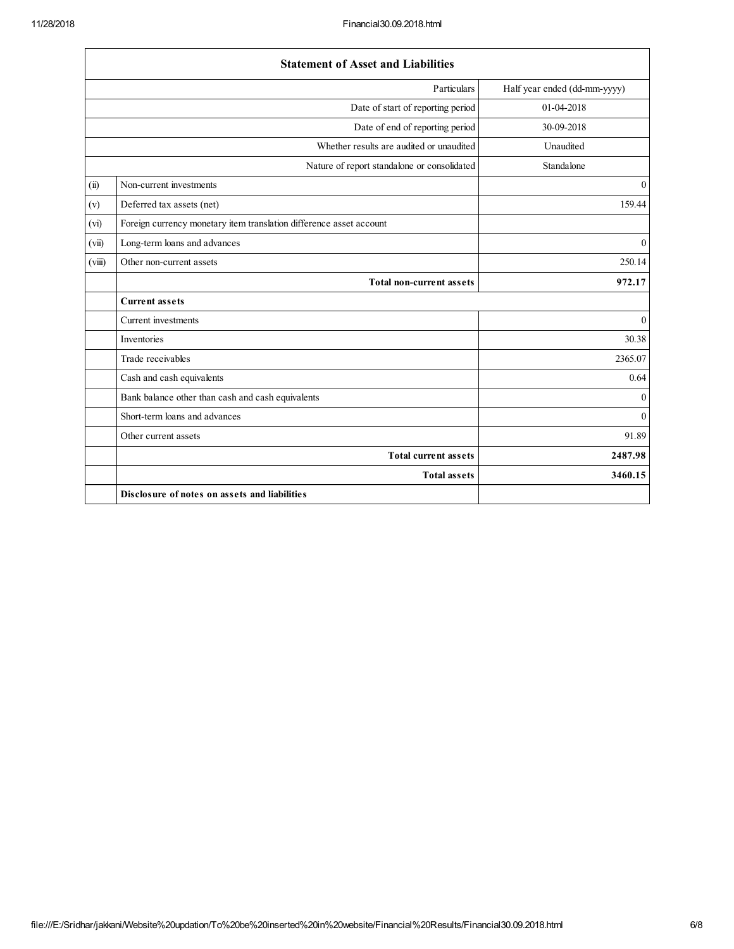|        | <b>Statement of Asset and Liabilities</b>                           |                              |
|--------|---------------------------------------------------------------------|------------------------------|
|        | Particulars                                                         | Half year ended (dd-mm-yyyy) |
|        | Date of start of reporting period                                   | 01-04-2018                   |
|        | Date of end of reporting period                                     | 30-09-2018                   |
|        | Whether results are audited or unaudited                            | Unaudited                    |
|        | Nature of report standalone or consolidated                         | Standalone                   |
| (ii)   | Non-current investments                                             | $\mathbf{0}$                 |
| (v)    | Deferred tax assets (net)                                           | 159.44                       |
| (vi)   | Foreign currency monetary item translation difference asset account |                              |
| (vii)  | Long-term loans and advances                                        | $\mathbf{0}$                 |
| (viii) | Other non-current assets                                            | 250.14                       |
|        | <b>Total non-current assets</b>                                     | 972.17                       |
|        | <b>Current assets</b>                                               |                              |
|        | Current investments                                                 | $\mathbf{0}$                 |
|        | Inventories                                                         | 30.38                        |
|        | Trade receivables                                                   | 2365.07                      |
|        | Cash and cash equivalents                                           | 0.64                         |
|        | Bank balance other than cash and cash equivalents                   | $\theta$                     |
|        | Short-term loans and advances                                       | $\mathbf{0}$                 |
|        | Other current assets                                                | 91.89                        |
|        | <b>Total current assets</b>                                         | 2487.98                      |
|        | <b>Total assets</b>                                                 | 3460.15                      |
|        | Disclosure of notes on assets and liabilities                       |                              |